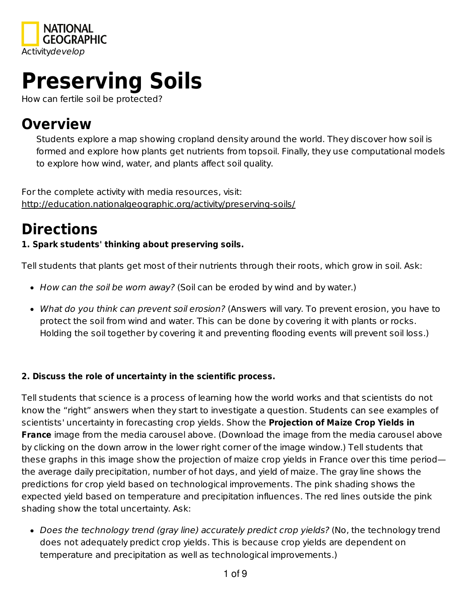

# **Preserving Soils**

How can fertile soil be protected?

## **Overview**

Students explore a map showing cropland density around the world. They discover how soil is formed and explore how plants get nutrients from topsoil. Finally, they use computational models to explore how wind, water, and plants affect soil quality.

For the complete activity with media resources, visit: http://education.nationalgeographic.org/activity/preserving-soils/

## **Directions**

#### **1. Spark students' thinking about preserving soils.**

Tell students that plants get most of their nutrients through their roots, which grow in soil. Ask:

- How can the soil be worn away? (Soil can be eroded by wind and by water.)
- What do you think can prevent soil erosion? (Answers will vary. To prevent erosion, you have to protect the soil from wind and water. This can be done by covering it with plants or rocks. Holding the soil together by covering it and preventing flooding events will prevent soil loss.)

#### **2. Discuss the role of uncertainty in the scientific process.**

Tell students that science is a process of learning how the world works and that scientists do not know the "right" answers when they start to investigate a question. Students can see examples of scientists' uncertainty in forecasting crop yields. Show the **Projection of Maize Crop Yields in France** image from the media carousel above. (Download the image from the media carousel above by clicking on the down arrow in the lower right corner of the image window.) Tell students that these graphs in this image show the projection of maize crop yields in France over this time period the average daily precipitation, number of hot days, and yield of maize. The gray line shows the predictions for crop yield based on technological improvements. The pink shading shows the expected yield based on temperature and precipitation influences. The red lines outside the pink shading show the total uncertainty. Ask:

• Does the technology trend (gray line) accurately predict crop yields? (No, the technology trend does not adequately predict crop yields. This is because crop yields are dependent on temperature and precipitation as well as technological improvements.)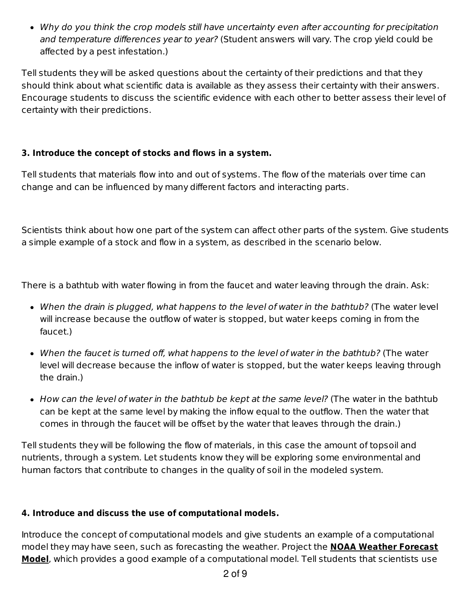Why do you think the crop models still have uncertainty even after accounting for precipitation and temperature differences year to year? (Student answers will vary. The crop yield could be affected by a pest infestation.)

Tell students they will be asked questions about the certainty of their predictions and that they should think about what scientific data is available as they assess their certainty with their answers. Encourage students to discuss the scientific evidence with each other to better assess their level of certainty with their predictions.

#### **3. Introduce the concept of stocks and flows in a system.**

Tell students that materials flow into and out of systems. The flow of the materials over time can change and can be influenced by many different factors and interacting parts.

Scientists think about how one part of the system can affect other parts of the system. Give students a simple example of a stock and flow in a system, as described in the scenario below.

There is a bathtub with water flowing in from the faucet and water leaving through the drain. Ask:

- When the drain is plugged, what happens to the level of water in the bathtub? (The water level will increase because the outflow of water is stopped, but water keeps coming in from the faucet.)
- When the faucet is turned off, what happens to the level of water in the bathtub? (The water level will decrease because the inflow of water is stopped, but the water keeps leaving through the drain.)
- $\bullet$  How can the level of water in the bathtub be kept at the same level? (The water in the bathtub can be kept at the same level by making the inflow equal to the outflow. Then the water that comes in through the faucet will be offset by the water that leaves through the drain.)

Tell students they will be following the flow of materials, in this case the amount of topsoil and nutrients, through a system. Let students know they will be exploring some environmental and human factors that contribute to changes in the quality of soil in the modeled system.

#### **4. Introduce and discuss the use of computational models.**

Introduce the concept of computational models and give students an example of a computational model they may have seen, such as forecasting the weather. Project the **NOAA Weather Forecast Model**, which provides a good example of a computational model. Tell students that scientists use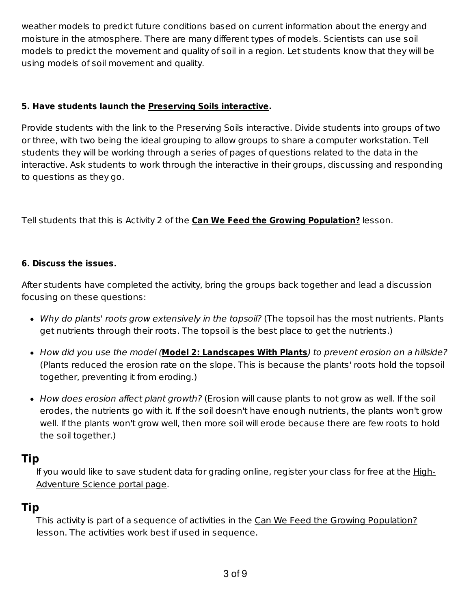weather models to predict future conditions based on current information about the energy and moisture in the atmosphere. There are many different types of models. Scientists can use soil models to predict the movement and quality of soil in a region. Let students know that they will be using models of soil movement and quality.

#### **5. Have students launch the Preserving Soils interactive.**

Provide students with the link to the Preserving Soils interactive. Divide students into groups of two or three, with two being the ideal grouping to allow groups to share a computer workstation. Tell students they will be working through a series of pages of questions related to the data in the interactive. Ask students to work through the interactive in their groups, discussing and responding to questions as they go.

Tell students that this is Activity 2 of the **Can We Feed the Growing Population?** lesson.

#### **6. Discuss the issues.**

After students have completed the activity, bring the groups back together and lead a discussion focusing on these questions:

- Why do plants' roots grow extensively in the topsoil? (The topsoil has the most nutrients. Plants get nutrients through their roots. The topsoil is the best place to get the nutrients.)
- How did you use the model (**Model 2: Landscapes With Plants**) to prevent erosion on a hillside? (Plants reduced the erosion rate on the slope. This is because the plants' roots hold the topsoil together, preventing it from eroding.)
- How does erosion affect plant growth? (Erosion will cause plants to not grow as well. If the soil erodes, the nutrients go with it. If the soil doesn't have enough nutrients, the plants won't grow well. If the plants won't grow well, then more soil will erode because there are few roots to hold the soil together.)

#### **Tip**

If you would like to save student data for grading online, register your class for free at the High-Adventure Science portal page.

## **Tip**

This activity is part of a sequence of activities in the Can We Feed the Growing Population? lesson. The activities work best if used in sequence.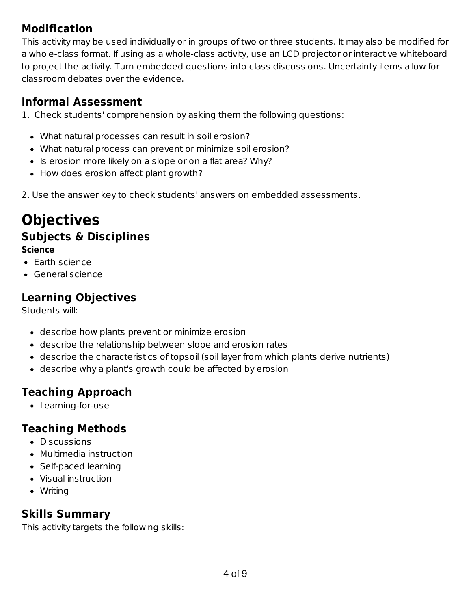## **Modification**

This activity may be used individually or in groups of two or three students. It may also be modified for a whole-class format. If using as a whole-class activity, use an LCD projector or interactive whiteboard to project the activity. Turn embedded questions into class discussions. Uncertainty items allow for classroom debates over the evidence.

## **Informal Assessment**

1. Check students' comprehension by asking them the following questions:

- What natural processes can result in soil erosion?
- What natural process can prevent or minimize soil erosion?
- Is erosion more likely on a slope or on a flat area? Why?
- How does erosion affect plant growth?

2. Use the answer key to check students' answers on embedded assessments.

## **Objectives**

## **Subjects & Disciplines**

#### **Science**

- Earth science
- General science

## **Learning Objectives**

Students will:

- describe how plants prevent or minimize erosion
- describe the relationship between slope and erosion rates
- describe the characteristics of topsoil (soil layer from which plants derive nutrients)
- describe why a plant's growth could be affected by erosion

## **Teaching Approach**

Learning-for-use

## **Teaching Methods**

- Discussions
- Multimedia instruction
- Self-paced learning
- Visual instruction
- Writing

## **Skills Summary**

This activity targets the following skills: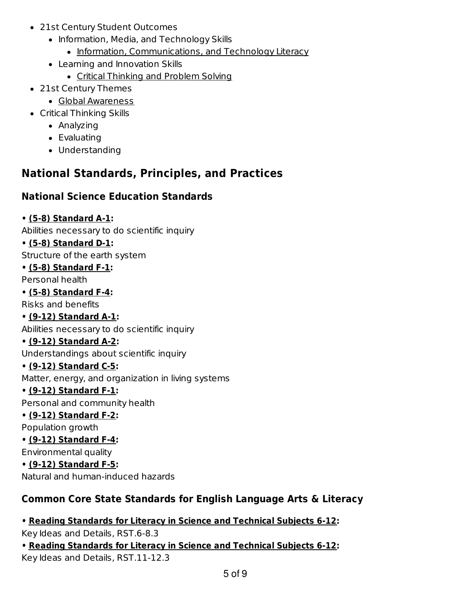- 21st Century Student Outcomes
	- Information, Media, and Technology Skills
		- Information, Communications, and Technology Literacy
	- Learning and Innovation Skills
		- Critical Thinking and Problem Solving
- 21st Century Themes
	- Global Awareness
- Critical Thinking Skills
	- Analyzing
	- Evaluating
	- Understanding

## **National Standards, Principles, and Practices**

### **National Science Education Standards**

#### **• (5-8) Standard A-1:**

Abilities necessary to do scientific inquiry

#### **• (5-8) Standard D-1:**

Structure of the earth system

#### **• (5-8) Standard F-1:**

Personal health

#### **• (5-8) Standard F-4:**

Risks and benefits

#### **• (9-12) Standard A-1:**

Abilities necessary to do scientific inquiry

#### **• (9-12) Standard A-2:**

Understandings about scientific inquiry

#### **• (9-12) Standard C-5:**

Matter, energy, and organization in living systems

#### **• (9-12) Standard F-1:**

Personal and community health

**• (9-12) Standard F-2:**

#### Population growth

**• (9-12) Standard F-4:** Environmental quality

#### **• (9-12) Standard F-5:**

Natural and human-induced hazards

## **Common Core State Standards for English Language Arts & Literacy**

## **• Reading Standards for Literacy in Science and Technical Subjects 6-12:**

Key Ideas and Details, RST.6-8.3

#### **• Reading Standards for Literacy in Science and Technical Subjects 6-12:** Key Ideas and Details, RST.11-12.3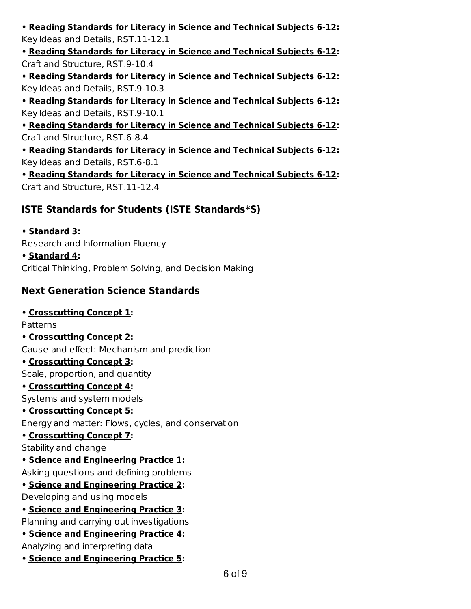**• Reading Standards for Literacy in Science and Technical Subjects 6-12:** Key Ideas and Details, RST.11-12.1

**• Reading Standards for Literacy in Science and Technical Subjects 6-12:** Craft and Structure, RST.9-10.4

**• Reading Standards for Literacy in Science and Technical Subjects 6-12:** Key Ideas and Details, RST.9-10.3

**• Reading Standards for Literacy in Science and Technical Subjects 6-12:** Key Ideas and Details, RST.9-10.1

**• Reading Standards for Literacy in Science and Technical Subjects 6-12:** Craft and Structure, RST.6-8.4

**• Reading Standards for Literacy in Science and Technical Subjects 6-12:** Key Ideas and Details, RST.6-8.1

**• Reading Standards for Literacy in Science and Technical Subjects 6-12:** Craft and Structure, RST.11-12.4

#### **ISTE Standards for Students (ISTE Standards\*S)**

#### **• Standard 3:**

Research and Information Fluency

#### **• Standard 4:**

Critical Thinking, Problem Solving, and Decision Making

#### **Next Generation Science Standards**

#### **• Crosscutting Concept 1:**

Patterns

**• Crosscutting Concept 2:**

Cause and effect: Mechanism and prediction

#### **• Crosscutting Concept 3:**

Scale, proportion, and quantity

#### **• Crosscutting Concept 4:**

Systems and system models

#### **• Crosscutting Concept 5:**

Energy and matter: Flows, cycles, and conservation

#### **• Crosscutting Concept 7:**

Stability and change

#### **• Science and Engineering Practice 1:**

Asking questions and defining problems

#### **• Science and Engineering Practice 2:**

Developing and using models

**• Science and Engineering Practice 3:**

Planning and carrying out investigations

## **• Science and Engineering Practice 4:**

Analyzing and interpreting data

**• Science and Engineering Practice 5:**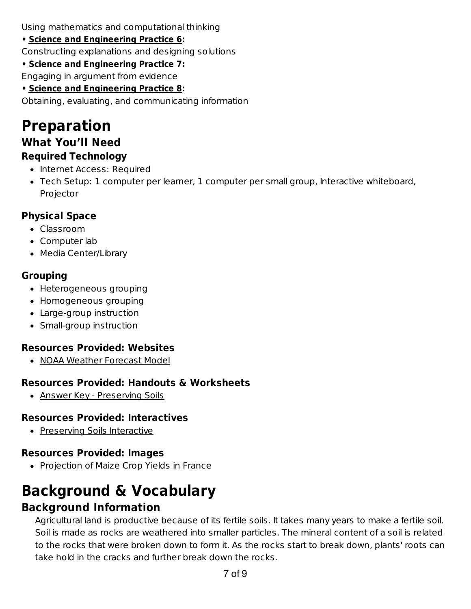Using mathematics and computational thinking

**• Science and Engineering Practice 6:**

Constructing explanations and designing solutions

**• Science and Engineering Practice 7:**

Engaging in argument from evidence

**• Science and Engineering Practice 8:**

Obtaining, evaluating, and communicating information

## **Preparation What You'll Need Required Technology**

- Internet Access: Required
- Tech Setup: 1 computer per learner, 1 computer per small group, Interactive whiteboard, Projector

## **Physical Space**

- Classroom
- Computer lab
- Media Center/Library

## **Grouping**

- Heterogeneous grouping
- Homogeneous grouping
- Large-group instruction
- Small-group instruction

## **Resources Provided: Websites**

• NOAA Weather Forecast Model

## **Resources Provided: Handouts & Worksheets**

Answer Key - Preserving Soils

## **Resources Provided: Interactives**

Preserving Soils Interactive

## **Resources Provided: Images**

• Projection of Maize Crop Yields in France

# **Background & Vocabulary**

## **Background Information**

Agricultural land is productive because of its fertile soils. It takes many years to make a fertile soil. Soil is made as rocks are weathered into smaller particles. The mineral content of a soil is related to the rocks that were broken down to form it. As the rocks start to break down, plants' roots can take hold in the cracks and further break down the rocks.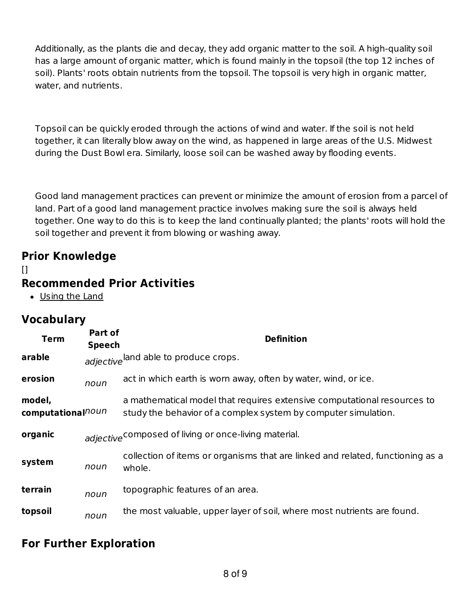Additionally, as the plants die and decay, they add organic matter to the soil. A high-quality soil has a large amount of organic matter, which is found mainly in the topsoil (the top 12 inches of soil). Plants' roots obtain nutrients from the topsoil. The topsoil is very high in organic matter, water, and nutrients.

Topsoil can be quickly eroded through the actions of wind and water. If the soil is not held together, it can literally blow away on the wind, as happened in large areas of the U.S. Midwest during the Dust Bowl era. Similarly, loose soil can be washed away by flooding events.

Good land management practices can prevent or minimize the amount of erosion from a parcel of land. Part of a good land management practice involves making sure the soil is always held together. One way to do this is to keep the land continually planted; the plants' roots will hold the soil together and prevent it from blowing or washing away.

## **Prior Knowledge**

#### $\mathsf{I}$

## **Recommended Prior Activities**

Using the Land

## **Vocabulary**

| <b>Term</b>                             | Part of<br><b>Speech</b> | <b>Definition</b>                                                                                                                         |
|-----------------------------------------|--------------------------|-------------------------------------------------------------------------------------------------------------------------------------------|
| arable                                  |                          | adjective and able to produce crops.                                                                                                      |
| erosion                                 | noun                     | act in which earth is worn away, often by water, wind, or ice.                                                                            |
| model,<br>computational <sup>noun</sup> |                          | a mathematical model that requires extensive computational resources to<br>study the behavior of a complex system by computer simulation. |
| organic                                 |                          | adjective <sup>composed</sup> of living or once-living material.                                                                          |
| system                                  | noun                     | collection of items or organisms that are linked and related, functioning as a<br>whole.                                                  |
| terrain                                 | noun                     | topographic features of an area.                                                                                                          |
| topsoil                                 | noun                     | the most valuable, upper layer of soil, where most nutrients are found.                                                                   |

## **For Further Exploration**